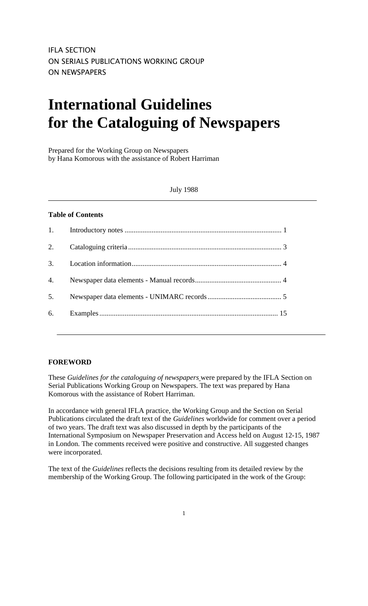# **International Guidelines for the Cataloguing of Newspapers**

Prepared for the Working Group on Newspapers by Hana Komorous with the assistance of Robert Harriman

### July 1988

### **Table of Contents**

| 2. |  |
|----|--|
|    |  |
|    |  |
|    |  |
|    |  |
|    |  |

### **FOREWORD**

These *Guidelines for the cataloguing of newspapers* were prepared by the IFLA Section on Serial Publications Working Group on Newspapers. The text was prepared by Hana Komorous with the assistance of Robert Harriman.

In accordance with general IFLA practice, the Working Group and the Section on Serial Publications circulated the draft text of the *Guidelines* worldwide for comment over a period of two years. The draft text was also discussed in depth by the participants of the International Symposium on Newspaper Preservation and Access held on August 12-15, 1987 in London. The comments received were positive and constructive. All suggested changes were incorporated.

The text of the *Guidelines* reflects the decisions resulting from its detailed review by the membership of the Working Group. The following participated in the work of the Group: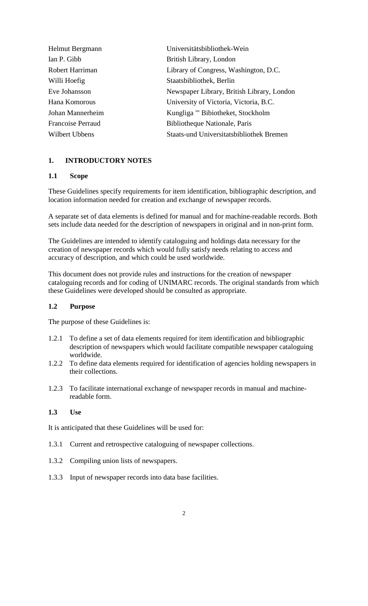| Helmut Bergmann          | Universitätsbibliothek-Wein                     |
|--------------------------|-------------------------------------------------|
| Ian P. Gibb              | British Library, London                         |
| Robert Harriman          | Library of Congress, Washington, D.C.           |
| Willi Hoefig             | Staatsbibliothek, Berlin                        |
| Eve Johansson            | Newspaper Library, British Library, London      |
| Hana Komorous            | University of Victoria, Victoria, B.C.          |
| Johan Mannerheim         | Kungliga "' Bibiotheket, Stockholm              |
| <b>Francoise Perraud</b> | Bibliotheque Nationale, Paris                   |
| Wilbert Ubbens           | <b>Staats-und Universitatsbibliothek Bremen</b> |

### **1. INTRODUCTORY NOTES**

### **1.1 Scope**

These Guidelines specify requirements for item identification, bibliographic description, and location information needed for creation and exchange of newspaper records.

A separate set of data elements is defined for manual and for machine-readable records. Both sets include data needed for the description of newspapers in original and in non-print form.

The Guidelines are intended to identify cataloguing and holdings data necessary for the creation of newspaper records which would fully satisfy needs relating to access and accuracy of description, and which could be used worldwide.

This document does not provide rules and instructions for the creation of newspaper cataloguing records and for coding of UNIMARC records. The original standards from which these Guidelines were developed should be consulted as appropriate.

### **1.2 Purpose**

The purpose of these Guidelines is:

- 1.2.1 To define a set of data elements required for item identification and bibliographic description of newspapers which would facilitate compatible newspaper cataloguing worldwide.
- 1.2.2 To define data elements required for identification of agencies holding newspapers in their collections.
- 1.2.3 To facilitate international exchange of newspaper records in manual and machinereadable form.

### **1.3 Use**

It is anticipated that these Guidelines will be used for:

- 1.3.1 Current and retrospective cataloguing of newspaper collections.
- 1.3.2 Compiling union lists of newspapers.
- 1.3.3 Input of newspaper records into data base facilities.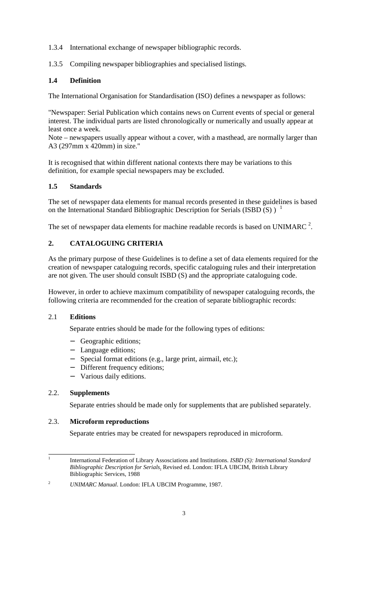- 1.3.4 International exchange of newspaper bibliographic records.
- 1.3.5 Compiling newspaper bibliographies and specialised listings.

# **1.4 Definition**

The International Organisation for Standardisation (ISO) defines a newspaper as follows:

"Newspaper: Serial Publication which contains news on Current events of special or general interest. The individual parts are listed chronologically or numerically and usually appear at least once a week.

Note – newspapers usually appear without a cover, with a masthead, are normally larger than A3 (297mm x 420mm) in size."

It is recognised that within different national contexts there may be variations to this definition, for example special newspapers may be excluded.

### **1.5 Standards**

The set of newspaper data elements for manual records presented in these guidelines is based on the International Standard Bibliographic Description for Serials (ISBD  $(S)$ ) <sup>1</sup>

The set of newspaper data elements for machine readable records is based on UNIMARC  $^2$ .

# **2. CATALOGUING CRITERIA**

As the primary purpose of these Guidelines is to define a set of data elements required for the creation of newspaper cataloguing records, specific cataloguing rules and their interpretation are not given. The user should consult ISBD (S) and the appropriate cataloguing code.

However, in order to achieve maximum compatibility of newspaper cataloguing records, the following criteria are recommended for the creation of separate bibliographic records:

### 2.1 **Editions**

Separate entries should be made for the following types of editions:

- − Geographic editions;
- − Language editions;
- − Special format editions (e.g., large print, airmail, etc.);
- Different frequency editions;
- − Various daily editions.

### 2.2. **Supplements**

Separate entries should be made only for supplements that are published separately.

### 2.3. **Microform reproductions**

Separate entries may be created for newspapers reproduced in microform.

 $\frac{1}{1}$  International Federation of Library Assosciations and Institutions. *ISBD (S): International Standard Bibliographic Description for Serials*. Revised ed. London: IFLA UBCIM, British Library Bibliographic Services, 1988

<sup>2</sup> *UNIMARC Manual*. London: IFLA UBCIM Programme, 1987.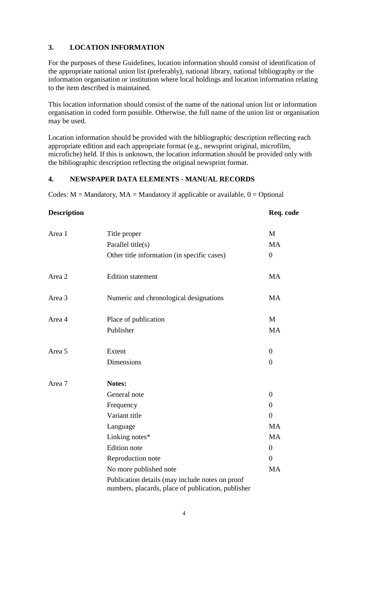### **3. LOCATION INFORMATION**

For the purposes of these Guidelines, location information should consist of identification of the appropriate national union list (preferably), national library, national bibliography or the information organisation or institution where local holdings and location information relating to the item described is maintained.

This location information should consist of the name of the national union list or information organisation in coded form possible. Otherwise, the full name of the union list or organisation may be used.

Location information should be provided with the bibliographic description reflecting each appropriate edition and each appropriate format (e.g., newsprint original, microfilm, microfiche) held. If this is unknown, the location information should be provided only with the bibliographic description reflecting the original newsprint format.

### **4. NEWSPAPER DATA ELEMENTS - MANUAL RECORDS**

Codes:  $M =$  Mandatory,  $MA =$  Mandatory if applicable or available,  $0 =$  Optional

| <b>Description</b> |                                                                                                       | Req. code      |
|--------------------|-------------------------------------------------------------------------------------------------------|----------------|
| Area 1             | Title proper                                                                                          | M              |
|                    | Parallel title(s)                                                                                     | <b>MA</b>      |
|                    | Other title information (in specific cases)                                                           | $\overline{0}$ |
| Area 2             | <b>Edition</b> statement                                                                              | <b>MA</b>      |
| Area 3             | Numeric and chronological designations                                                                | <b>MA</b>      |
| Area 4             | Place of publication                                                                                  | M              |
|                    | Publisher                                                                                             | <b>MA</b>      |
| Area 5             | Extent                                                                                                | $\overline{0}$ |
|                    | <b>Dimensions</b>                                                                                     | $\overline{0}$ |
| Area 7             | Notes:                                                                                                |                |
|                    | General note                                                                                          | $\overline{0}$ |
|                    | Frequency                                                                                             | $\overline{0}$ |
|                    | Variant title                                                                                         | $\theta$       |
|                    | Language                                                                                              | <b>MA</b>      |
|                    | Linking notes*                                                                                        | <b>MA</b>      |
|                    | <b>Edition</b> note                                                                                   | $\overline{0}$ |
|                    | Reproduction note                                                                                     | $\overline{0}$ |
|                    | No more published note                                                                                | MA             |
|                    | Publication details (may include notes on proof<br>numbers, placards, place of publication, publisher |                |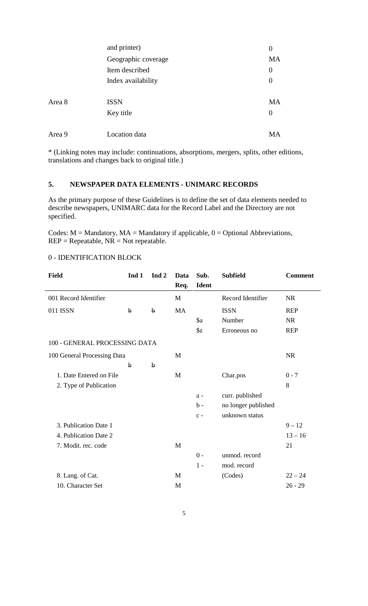|        | and printer)        | $\boldsymbol{0}$ |
|--------|---------------------|------------------|
|        | Geographic coverage | <b>MA</b>        |
|        | Item described      | $\overline{0}$   |
|        | Index availability  | $\overline{0}$   |
|        |                     |                  |
| Area 8 | <b>ISSN</b>         | <b>MA</b>        |
|        | Key title           | $\overline{0}$   |
|        |                     |                  |
| Area 9 | Location data       | MA               |

\* (Linking notes may include: continuations, absorptions, mergers, splits, other editions, translations and changes back to original title.)

# **5. NEWSPAPER DATA ELEMENTS - UNIMARC RECORDS**

As the primary purpose of these Guidelines is to define the set of data elements needed to describe newspapers, UNIMARC data for the Record Label and the Directory are not specified.

Codes:  $M =$  Mandatory,  $MA =$  Mandatory if applicable,  $0 =$  Optional Abbreviations,  $REP = Repeatable, NR = Not repeatable.$ 

# 0 - IDENTIFICATION BLOCK

| <b>Field</b>                  | Ind 1       | Ind <sub>2</sub> | Data      | Sub.          | <b>Subfield</b>     | <b>Comment</b> |
|-------------------------------|-------------|------------------|-----------|---------------|---------------------|----------------|
|                               |             |                  | Req.      | Ident         |                     |                |
| 001 Record Identifier         |             |                  | M         |               | Record Identifier   | <b>NR</b>      |
| 011 ISSN                      | $\mathbf b$ | $\mathbf b$      | <b>MA</b> |               | <b>ISSN</b>         | <b>REP</b>     |
|                               |             |                  |           | \$a           | Number              | <b>NR</b>      |
|                               |             |                  |           | $\frac{1}{2}$ | Erroneous no        | <b>REP</b>     |
| 100 - GENERAL PROCESSING DATA |             |                  |           |               |                     |                |
| 100 General Processing Data   |             |                  | M         |               |                     | <b>NR</b>      |
|                               | $\mathbf b$ | $\mathbf b$      |           |               |                     |                |
| 1. Date Entered on File       |             |                  | M         |               | Char.pos            | $0 - 7$        |
| 2. Type of Publication        |             |                  |           |               |                     | 8              |
|                               |             |                  |           | $a -$         | curr. published     |                |
|                               |             |                  |           | $b -$         | no longer published |                |
|                               |             |                  |           | $c -$         | unknown status      |                |
| 3. Publication Date 1         |             |                  |           |               |                     | $9 - 12$       |
| 4. Publication Date 2         |             |                  |           |               |                     | $13 - 16$      |
| 7. Modit. rec. code           |             |                  | M         |               |                     | 21             |
|                               |             |                  |           | $0 -$         | unmod. record       |                |
|                               |             |                  |           | $1 -$         | mod. record         |                |
| 8. Lang. of Cat.              |             |                  | M         |               | (Codes)             | $22 - 24$      |
| 10. Character Set             |             |                  | M         |               |                     | $26 - 29$      |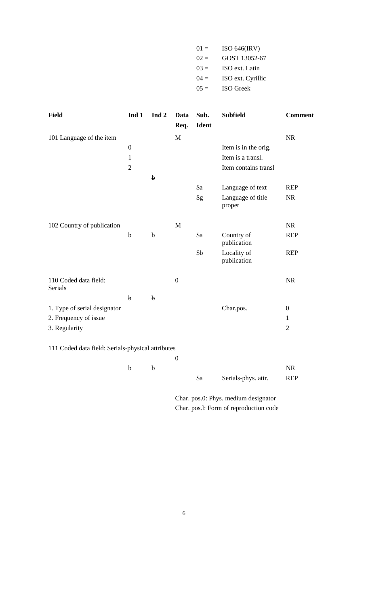| $01 =$  | ISO $646$ (IRV)   |
|---------|-------------------|
| $02 =$  | GOST 13052-67     |
| $03 =$  | ISO ext. Latin    |
| $04 =$  | ISO ext. Cyrillic |
| $0.5 =$ | <b>ISO</b> Greek  |

| <b>Field</b>                                      | Ind 1            | Ind <sub>2</sub> | Data<br>Req.     | Sub.<br>Ident | <b>Subfield</b>             | <b>Comment</b> |
|---------------------------------------------------|------------------|------------------|------------------|---------------|-----------------------------|----------------|
| 101 Language of the item                          |                  |                  | $\mathbf{M}$     |               |                             | NR             |
|                                                   | $\boldsymbol{0}$ |                  |                  |               | Item is in the orig.        |                |
|                                                   | $\mathbf{1}$     |                  |                  |               | Item is a transl.           |                |
|                                                   | $\overline{2}$   |                  |                  |               | Item contains transl        |                |
|                                                   |                  | $\mathbf b$      |                  |               |                             |                |
|                                                   |                  |                  |                  | $\$ {a}       | Language of text            | <b>REP</b>     |
|                                                   |                  |                  |                  | $\S$ g        | Language of title<br>proper | <b>NR</b>      |
| 102 Country of publication                        |                  |                  | M                |               |                             | <b>NR</b>      |
|                                                   | $\mathbf b$      | $\mathbf b$      |                  | $\$ {a}       | Country of<br>publication   | <b>REP</b>     |
|                                                   |                  |                  |                  | \$b           | Locality of<br>publication  | <b>REP</b>     |
| 110 Coded data field:<br>Serials                  |                  |                  | $\boldsymbol{0}$ |               |                             | <b>NR</b>      |
|                                                   | $\mathbf b$      | $\mathbf b$      |                  |               |                             |                |
| 1. Type of serial designator                      |                  |                  |                  |               | Char.pos.                   | $\overline{0}$ |
| 2. Frequency of issue                             |                  |                  |                  |               |                             | $\mathbf{1}$   |
| 3. Regularity                                     |                  |                  |                  |               |                             | $\overline{2}$ |
| 111 Coded data field: Serials-physical attributes |                  |                  |                  |               |                             |                |

0

| h |    |                     | NR         |
|---|----|---------------------|------------|
|   | Sa | Serials-phys. attr. | <b>REP</b> |

Char. pos.0: Phys. medium designator Char. pos.l: Form of reproduction code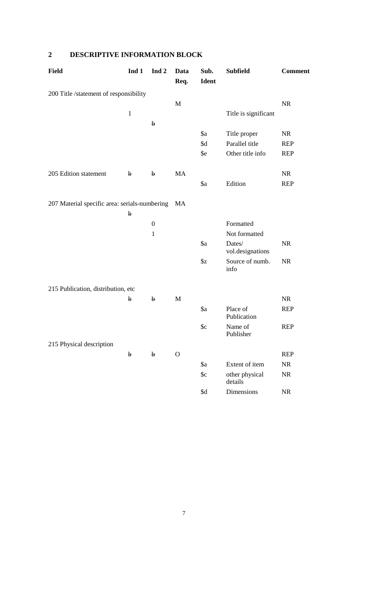# **2 DESCRIPTIVE INFORMATION BLOCK**

| <b>Field</b>                                  | Ind 1        | Ind <sub>2</sub> | Data<br>Req. | Sub.<br>Ident | <b>Subfield</b>            | <b>Comment</b> |
|-----------------------------------------------|--------------|------------------|--------------|---------------|----------------------------|----------------|
| 200 Title /statement of responsibility        |              |                  |              |               |                            |                |
|                                               |              |                  | M            |               |                            | <b>NR</b>      |
|                                               | $\mathbf{1}$ |                  |              |               | Title is significant       |                |
|                                               |              | $\mathbf b$      |              |               |                            |                |
|                                               |              |                  |              | \$a           | Title proper               | <b>NR</b>      |
|                                               |              |                  |              | \$d           | Parallel title             | <b>REP</b>     |
|                                               |              |                  |              | \$e           | Other title info           | <b>REP</b>     |
| 205 Edition statement                         | $\mathbf b$  | $\mathbf b$      | MA           |               |                            | <b>NR</b>      |
|                                               |              |                  |              | $\$a$         | Edition                    | <b>REP</b>     |
| 207 Material specific area: serials-numbering |              |                  | MA           |               |                            |                |
|                                               | $\mathbf b$  |                  |              |               |                            |                |
|                                               |              | $\boldsymbol{0}$ |              |               | Formatted                  |                |
|                                               |              | $\mathbf{1}$     |              |               | Not formatted              |                |
|                                               |              |                  |              | \$a           | Dates/<br>vol.designations | <b>NR</b>      |
|                                               |              |                  |              | \$z           | Source of numb.<br>info    | <b>NR</b>      |
| 215 Publication, distribution, etc            |              |                  |              |               |                            |                |
|                                               | $\mathbf b$  | $\mathbf b$      | M            |               |                            | <b>NR</b>      |
|                                               |              |                  |              | \$a           | Place of<br>Publication    | <b>REP</b>     |
|                                               |              |                  |              | c             | Name of<br>Publisher       | <b>REP</b>     |
| 215 Physical description                      |              |                  |              |               |                            |                |
|                                               | $\mathbf b$  | $\mathbf b$      | $\mathbf{O}$ |               |                            | <b>REP</b>     |
|                                               |              |                  |              | \$a           | Extent of item             | NR             |
|                                               |              |                  |              | c             | other physical<br>details  | $\rm NR$       |
|                                               |              |                  |              | \$d           | Dimensions                 | $\rm NR$       |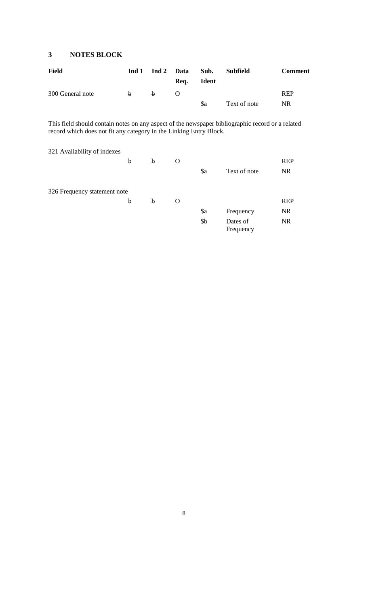### **3 NOTES BLOCK**

| <b>Field</b>     | Ind 1    |    | Ind 2 Data<br>Req. | Sub.<br>Ident | Subfield     | <b>Comment</b> |
|------------------|----------|----|--------------------|---------------|--------------|----------------|
| 300 General note | <b>b</b> | b. |                    |               |              | <b>REP</b>     |
|                  |          |    |                    | \$a           | Text of note | <b>NR</b>      |

This field should contain notes on any aspect of the newspaper bibliographic record or a related record which does not fit any category in the Linking Entry Block.

| 321 Availability of indexes  |   |   |   |         |                       |            |
|------------------------------|---|---|---|---------|-----------------------|------------|
|                              | b | b | O |         |                       | <b>REP</b> |
|                              |   |   |   | $\$ {a} | Text of note          | <b>NR</b>  |
| 326 Frequency statement note |   |   |   |         |                       |            |
|                              | b | b | O |         |                       | <b>REP</b> |
|                              |   |   |   | $\$ {a} | Frequency             | <b>NR</b>  |
|                              |   |   |   | \$b     | Dates of<br>Frequency | <b>NR</b>  |
|                              |   |   |   |         |                       |            |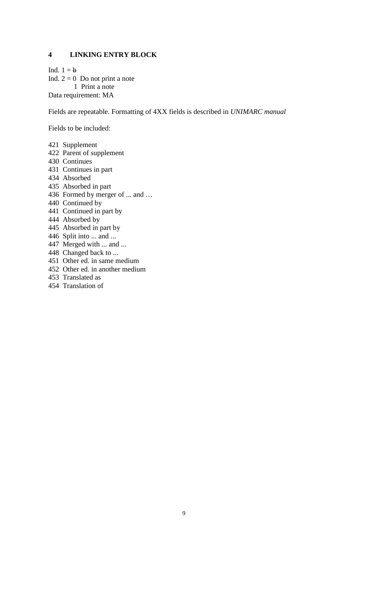### **4 LINKING ENTRY BLOCK**

Ind.  $1 = b$ Ind.  $2 = 0$  Do not print a note 1 Print a note Data requirement: MA

Fields are repeatable. Formatting of 4XX fields is described in *UNIMARC manual*

Fields to be included:

421 Supplement

- 422 Parent of supplement
- 430 Continues
- 431 Continues in part
- 434 Absorbed
- 435 Absorbed in part
- 436 Formed by merger of ... and …
- 440 Continued by
- 441 Continued in part by
- 444 Absorbed by
- 445 Absorbed in part by
- 446 Split into ... and ...
- 447 Merged with ... and ...
- 448 Changed back to ...
- 451 Other ed. in same medium
- 452 Other ed. in another medium
- 453 Translated as
- 454 Translation of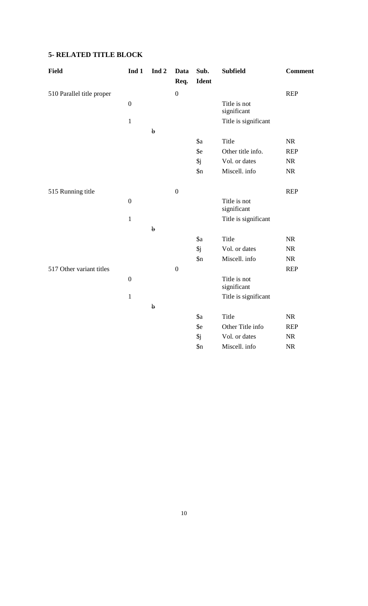# **5- RELATED TITLE BLOCK**

| Field                     | Ind 1            | Ind <sub>2</sub> | Data             | Sub.             | <b>Subfield</b>             | <b>Comment</b> |
|---------------------------|------------------|------------------|------------------|------------------|-----------------------------|----------------|
|                           |                  |                  | Req.             | <b>Ident</b>     |                             |                |
| 510 Parallel title proper |                  |                  | $\boldsymbol{0}$ |                  |                             | <b>REP</b>     |
|                           | $\boldsymbol{0}$ |                  |                  |                  | Title is not<br>significant |                |
|                           | $1\,$            |                  |                  |                  | Title is significant        |                |
|                           |                  | $\mathbf b$      |                  |                  |                             |                |
|                           |                  |                  |                  | \$a              | Title                       | <b>NR</b>      |
|                           |                  |                  |                  | \$e              | Other title info.           | <b>REP</b>     |
|                           |                  |                  |                  | $\mathfrak{h}$ j | Vol. or dates               | <b>NR</b>      |
|                           |                  |                  |                  | $\mathbf{\$n}$   | Miscell. info               | <b>NR</b>      |
| 515 Running title         |                  |                  | $\boldsymbol{0}$ |                  |                             | <b>REP</b>     |
|                           | $\boldsymbol{0}$ |                  |                  |                  | Title is not<br>significant |                |
|                           | $\mathbf{1}$     |                  |                  |                  | Title is significant        |                |
|                           |                  | $\mathbf b$      |                  |                  |                             |                |
|                           |                  |                  |                  | $\$ {a}          | Title                       | <b>NR</b>      |
|                           |                  |                  |                  | \$j              | Vol. or dates               | <b>NR</b>      |
|                           |                  |                  |                  | $\sin$           | Miscell. info               | NR             |
| 517 Other variant titles  |                  |                  | $\boldsymbol{0}$ |                  |                             | <b>REP</b>     |
|                           | $\boldsymbol{0}$ |                  |                  |                  | Title is not<br>significant |                |
|                           | $1\,$            |                  |                  |                  | Title is significant        |                |
|                           |                  | $\mathbf b$      |                  |                  |                             |                |
|                           |                  |                  |                  | $\$ {a}          | Title                       | <b>NR</b>      |
|                           |                  |                  |                  | \$e              | Other Title info            | <b>REP</b>     |
|                           |                  |                  |                  | \$j              | Vol. or dates               | NR             |
|                           |                  |                  |                  | $\mathsf{S}_n$   | Miscell. info               | $\rm NR$       |
|                           |                  |                  |                  |                  |                             |                |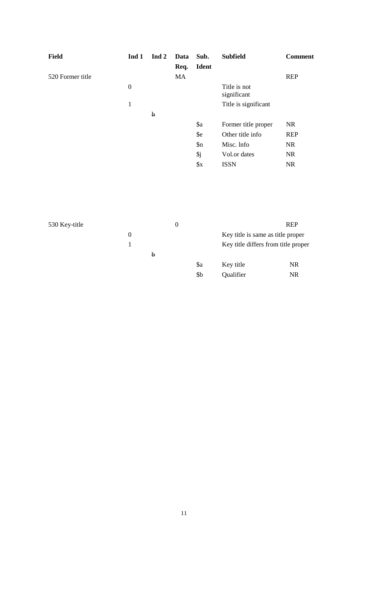| <b>Field</b>     | Ind 1            | Ind 2       | Data | Sub.           | <b>Subfield</b>             | <b>Comment</b> |
|------------------|------------------|-------------|------|----------------|-----------------------------|----------------|
|                  |                  |             | Req. | <b>Ident</b>   |                             |                |
| 520 Former title |                  |             | MA   |                |                             | <b>REP</b>     |
|                  | $\boldsymbol{0}$ |             |      |                | Title is not<br>significant |                |
|                  | 1                |             |      |                | Title is significant        |                |
|                  |                  | $\mathbf b$ |      |                |                             |                |
|                  |                  |             |      | \$a            | Former title proper         | <b>NR</b>      |
|                  |                  |             |      | \$e            | Other title info            | <b>REP</b>     |
|                  |                  |             |      | $\mathsf{S}_n$ | Misc. Info                  | <b>NR</b>      |
|                  |                  |             |      | \$j            | Vol.or dates                | <b>NR</b>      |
|                  |                  |             |      | $\frac{1}{2}X$ | <b>ISSN</b>                 | <b>NR</b>      |

| 530 Key-title |          | $\theta$ |  |                 | <b>REP</b>                          |           |
|---------------|----------|----------|--|-----------------|-------------------------------------|-----------|
|               | $\theta$ |          |  |                 | Key title is same as title proper   |           |
|               |          |          |  |                 | Key title differs from title proper |           |
|               |          | b        |  |                 |                                     |           |
|               |          |          |  | \$a             | Key title                           | <b>NR</b> |
|               |          |          |  | \$ <sub>b</sub> | Qualifier                           | <b>NR</b> |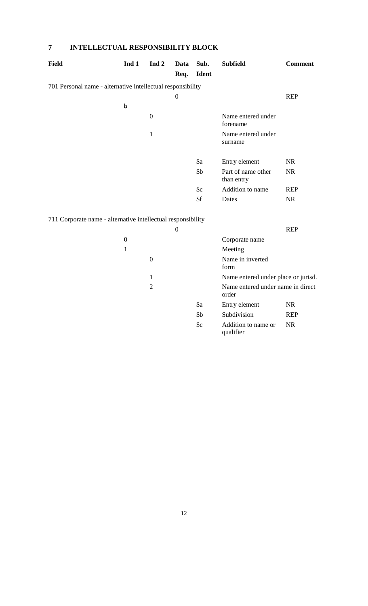# **7 INTELLECTUAL RESPONSIBILITY BLOCK**

| <b>Field</b>                                                 | Ind 1       | Ind $2$      | Data             | Sub.         | <b>Subfield</b>                  | <b>Comment</b> |
|--------------------------------------------------------------|-------------|--------------|------------------|--------------|----------------------------------|----------------|
|                                                              |             |              | Req.             | <b>Ident</b> |                                  |                |
| 701 Personal name - alternative intellectual responsibility  |             |              |                  |              |                                  |                |
|                                                              |             |              | $\boldsymbol{0}$ |              |                                  | <b>REP</b>     |
|                                                              | $\mathbf b$ |              |                  |              |                                  |                |
|                                                              |             | $\theta$     |                  |              | Name entered under<br>forename   |                |
|                                                              |             | $\mathbf{1}$ |                  |              | Name entered under<br>surname    |                |
|                                                              |             |              |                  | \$a          | Entry element                    | <b>NR</b>      |
|                                                              |             |              |                  | \$b\$        | Part of name other<br>than entry | <b>NR</b>      |
|                                                              |             |              |                  | c            | Addition to name                 | <b>REP</b>     |
|                                                              |             |              |                  | \$f          | Dates                            | <b>NR</b>      |
|                                                              |             |              |                  |              |                                  |                |
| 711 Corporate name - alternative intellectual responsibility |             |              |                  |              |                                  |                |

|   |   | 0 |         |                                            | <b>REP</b> |
|---|---|---|---------|--------------------------------------------|------------|
| 0 |   |   |         | Corporate name                             |            |
| 1 |   |   |         | Meeting                                    |            |
|   | 0 |   |         | Name in inverted<br>form                   |            |
|   | 1 |   |         | Name entered under place or jurisd.        |            |
|   | 2 |   |         | Name entered under name in direct<br>order |            |
|   |   |   | $\$ {a} | Entry element                              | NR.        |
|   |   |   | \$b\$   | Subdivision                                | <b>REP</b> |
|   |   |   | c       | Addition to name or<br>qualifier           | NR.        |
|   |   |   |         |                                            |            |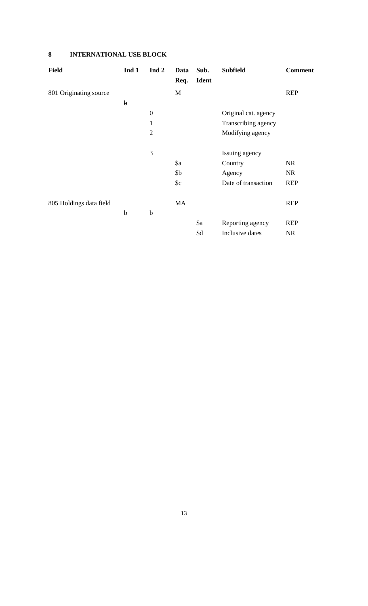# **8 INTERNATIONAL USE BLOCK**

| <b>Field</b>            | Ind 1       | Ind 2          | Data | Sub.         | <b>Subfield</b>      | <b>Comment</b> |
|-------------------------|-------------|----------------|------|--------------|----------------------|----------------|
|                         |             |                | Req. | <b>Ident</b> |                      |                |
| 801 Originating source  |             |                | M    |              |                      | <b>REP</b>     |
|                         | $\mathbf b$ |                |      |              |                      |                |
|                         |             | $\overline{0}$ |      |              | Original cat. agency |                |
|                         |             | 1              |      |              | Transcribing agency  |                |
|                         |             | $\overline{2}$ |      |              | Modifying agency     |                |
|                         |             | 3              |      |              | Issuing agency       |                |
|                         |             |                | \$a  |              | Country              | <b>NR</b>      |
|                         |             |                | \$b  |              | Agency               | <b>NR</b>      |
|                         |             |                | c    |              | Date of transaction  | <b>REP</b>     |
| 805 Holdings data field |             |                | MA   |              |                      | <b>REP</b>     |
|                         | $\mathbf b$ | $\mathbf b$    |      |              |                      |                |
|                         |             |                |      | \$a          | Reporting agency     | <b>REP</b>     |
|                         |             |                |      | \$d          | Inclusive dates      | <b>NR</b>      |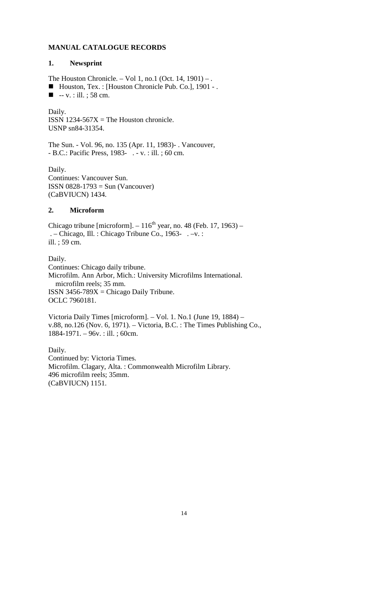### **MANUAL CATALOGUE RECORDS**

#### **1. Newsprint**

The Houston Chronicle. – Vol 1, no.1 (Oct. 14, 1901) – .

■ Houston, Tex. : [Houston Chronicle Pub. Co.], 1901 - .

 $\blacksquare$  -- v. : ill. ; 58 cm.

Daily. ISSN 1234-567 $X =$ The Houston chronicle. USNP sn84-31354.

The Sun. - Vol. 96, no. 135 (Apr. 11, 1983)- . Vancouver, - B.C.: Pacific Press, 1983- . - v. : ill. ; 60 cm.

Daily. Continues: Vancouver Sun. ISSN 0828-1793 = Sun (Vancouver) (CaBVIUCN) 1434.

#### **2. Microform**

Chicago tribune [microform].  $-116^{th}$  year, no. 48 (Feb. 17, 1963) – . – Chicago, Ill. : Chicago Tribune Co., 1963- . –v. : ill. ; 59 cm.

Daily. Continues: Chicago daily tribune. Microfilm. Ann Arbor, Mich.: University Microfilms International. microfilm reels; 35 mm. ISSN 3456-789 $X =$ Chicago Daily Tribune. OCLC 7960181.

Victoria Daily Times [microform]. – Vol. 1. No.1 (June 19, 1884) – v.88, no.126 (Nov. 6, 1971). – Victoria, B.C. : The Times Publishing Co., 1884-1971. – 96v. : ill. ; 60cm.

Daily. Continued by: Victoria Times. Microfilm. Clagary, Alta. : Commonwealth Microfilm Library. 496 microfilm reels; 35mm. (CaBVIUCN) 1151.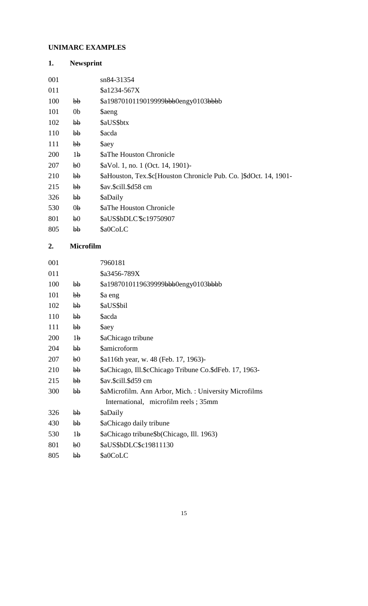# **UNIMARC EXAMPLES**

| 1.  | <b>Newsprint</b> |                                                                   |
|-----|------------------|-------------------------------------------------------------------|
| 001 |                  | sn84-31354                                                        |
| 011 |                  | \$a1234-567X                                                      |
| 100 | bb               | \$a1987010119019999bbb0engy0103bbbb                               |
| 101 | 0 <sub>b</sub>   | \$aeng                                                            |
| 102 | bb               | \$aUS\$btx                                                        |
| 110 | bb               | <b>Sacda</b>                                                      |
| 111 | bb               | \$aey                                                             |
| 200 | 1 <sub>b</sub>   | <b>\$aThe Houston Chronicle</b>                                   |
| 207 | b <sub>0</sub>   | \$aVol. 1, no. 1 (Oct. 14, 1901)-                                 |
| 210 | bb               | \$aHouston, Tex.\$c[Houston Chronicle Pub. Co. 1\$dOct. 14, 1901- |
| 215 | $\mathbf{b}$     | \$av.\$cill.\$d58 cm                                              |
| 326 | bb               | \$aDaily                                                          |
| 530 | 0 <sub>b</sub>   | <b>\$aThe Houston Chronicle</b>                                   |
| 801 | b <sub>0</sub>   | \$aUS\$bDLC'\$c19750907                                           |
| 805 | bb               | \$a0CoLC                                                          |

# **2. Microfilm**

| 001 |                | 7960181                                                 |
|-----|----------------|---------------------------------------------------------|
| 011 |                | \$a3456-789X                                            |
| 100 | bb             | \$a1987010119639999bbb0engy0103bbbb                     |
| 101 | bb             | \$a eng                                                 |
| 102 | bb             | \$aUS\$bil                                              |
| 110 | bb             | <b>Sacda</b>                                            |
| 111 | bb             | \$aey                                                   |
| 200 | 1 <sub>b</sub> | \$aChicago tribune                                      |
| 204 | bb             | \$amicroform                                            |
| 207 | b <sub>0</sub> | \$a116th year, w. 48 (Feb. 17, 1963)-                   |
| 210 | bb             | \$aChicago, Ill.\$cChicago Tribune Co.\$dFeb. 17, 1963- |
| 215 | bb             | \$av.\$cill.\$d59 cm                                    |
| 300 | bb             | \$aMicrofilm. Ann Arbor, Mich.: University Microfilms   |
|     |                | International, microfilm reels; 35mm                    |
| 326 | bb             | \$aDaily                                                |
| 430 | bb             | \$aChicago daily tribune                                |
| 530 | 1 <sub>b</sub> | \$aChicago tribune\$b(Chicago, Ill. 1963)               |
| 801 | b <sub>0</sub> | \$aUS\$bDLC\$c19811130                                  |
| 805 | bb             | \$a0CoLC                                                |
|     |                |                                                         |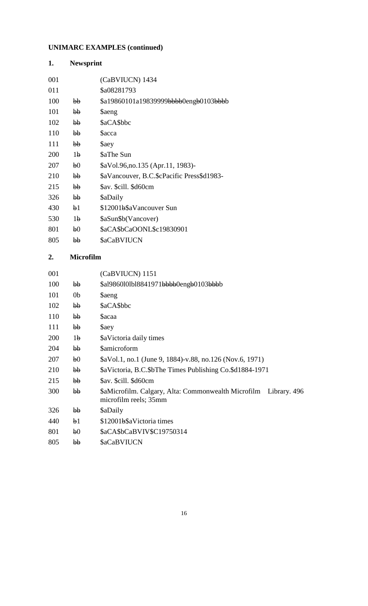# **UNIMARC EXAMPLES (continued)**

| 1.  | <b>Newsprint</b> |                                            |
|-----|------------------|--------------------------------------------|
| 001 |                  | (CaBVIUCN) 1434                            |
| 011 |                  | \$a08281793                                |
| 100 | hh               | \$a19860101a19839999bbbb0engb0103bbbb      |
| 101 | bb               | \$aeng                                     |
| 102 | bb               | \$aCA\$bbc                                 |
| 110 | bb               | <b>Sacca</b>                               |
| 111 | bb               | \$aey                                      |
| 200 | 1 <sub>b</sub>   | \$aThe Sun                                 |
| 207 | b <sub>0</sub>   | \$aVol.96, no.135 (Apr.11, 1983)-          |
| 210 | bb               | \$aVancouver, B.C.\$cPacific Press\$d1983- |
| 215 | hh               | \$av. \$cill. \$d60cm                      |
| 326 | bb               | \$aDaily                                   |
| 430 | b1               | \$12001b\$aVancouver Sun                   |
| 530 | 1 <sub>b</sub>   | \$aSun\$b(Vancover)                        |
| 801 | b <sub>0</sub>   | \$aCA\$bCaOONL\$c19830901                  |
| 805 | hh               | <b>\$aCaBVIUCN</b>                         |

### **2. Microfilm**

|                | (CaBVIUCN) 1151                                                                           |
|----------------|-------------------------------------------------------------------------------------------|
| $b\bar{b}$     | \$al9860l0lbl8841971 <del>bbbb</del> 0eng <del>b</del> 0103bbbb                           |
| 0 <sub>b</sub> | <b>Saeng</b>                                                                              |
| bb             | \$aCA\$bbc                                                                                |
| bb             | <b>Sacaa</b>                                                                              |
| bb             | \$aey                                                                                     |
| 1 <sub>b</sub> | \$aVictoria daily times                                                                   |
| bb             | <b>\$amicroform</b>                                                                       |
| b <sub>0</sub> | $\&$ Nol.1, no.1 (June 9, 1884)-v.88, no.126 (Nov.6, 1971)                                |
| $b\bar{b}$     | \$aVictoria, B.C.\$bThe Times Publishing Co.\$d1884-1971                                  |
| bb             | \$av. \$cill. \$d60cm                                                                     |
| bb             | \$aMicrofilm. Calgary, Alta: Commonwealth Microfilm Library. 496<br>microfilm reels; 35mm |
| bb             | \$aDaily                                                                                  |
| b1             | \$12001b\$aVictoria times                                                                 |
| b <sub>0</sub> | \$aCA\$bCaBVIV\$C19750314                                                                 |
| bb             | <b>\$aCaBVIUCN</b>                                                                        |
|                |                                                                                           |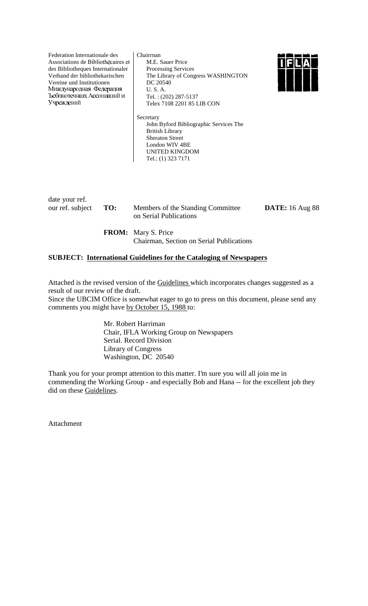Federation lnternationale des Associations de Bibliothècaires et des Bibliotheques Internationaler Verband der bibliothekarischen Vereine und Institutionen Миждународная Федерацня Ъсбпнотечншх Ассоциацний и Учреждений

Chairrnan M.E. Sauer Price Processing Services The Library of Congress WASHINGTON DC 20540 U. S. A. Tel. : (202) 287-5137 Telex 7108 2201 85 LIB CON



Secretary John Byford Bibliographic Services The British Library Sheraton Street London WIV 4BE UNITED KINGDOM Tel.: (1) 323 7171

date your ref.

our ref. subject **TO:** Members of the Standing Committee **DATE:** 16 Aug 88 on Serial Publications

**FROM:** Mary S. Price Chairman, Section on Serial Publications

### **SUBJECT: International Guidelines for the Cataloging of Newspapers**

Attached is the revised version of the Guidelines which incorporates changes suggested as a result of our review of the draft.

Since the UBCIM Office is somewhat eager to go to press on this document, please send any comments you might have by October 15, 1988 to:

> Mr. Robert Harriman Chair, IFLA Working Group on Newspapers Serial. Record Division Library of Congress Washington, DC 20540

Thank you for your prompt attention to this matter. I'm sure you will all join me in commending the Working Group - and especially Bob and Hana -- for the excellent job they did on these Guidelines.

Attachment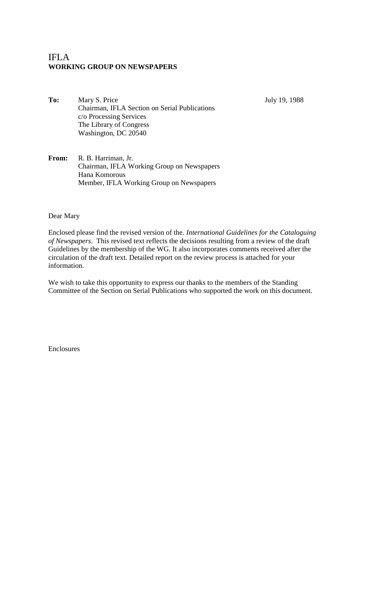# IFLA **WORKING GROUP ON NEWSPAPERS**

To: Mary S. Price July 19, 1988 Chairman, IFLA Section on Serial Publications c/o Processing Services The Library of Congress Washington, DC 20540

**From:** R. B. Harriman, Jr. Chairman, IFLA Working Group on Newspapers Hana Komorous Member, IFLA Working Group on Newspapers

Dear Mary

Enclosed please find the revised version of the. *International Guidelines for the Cataloguing of Newspapers*. This revised text reflects the decisions resulting from a review of the draft Guidelines by the membership of the WG. It also incorporates comments received after the circulation of the draft text. Detailed report on the review process is attached for your information.

We wish to take this opportunity to express our thanks to the members of the Standing Committee of the Section on Serial Publications who supported the work on this document.

Enclosures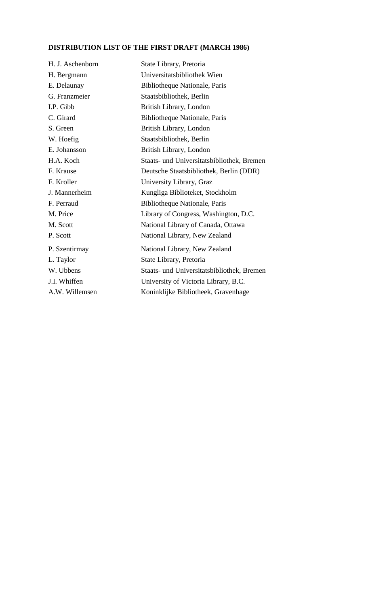# **DISTRIBUTION LIST OF THE FIRST DRAFT (MARCH 1986)**

| H. J. Aschenborn | State Library, Pretoria                    |
|------------------|--------------------------------------------|
| H. Bergmann      | Universitatsbibliothek Wien                |
| E. Delaunay      | Bibliotheque Nationale, Paris              |
| G. Franzmeier    | Staatsbibliothek, Berlin                   |
| I.P. Gibb        | British Library, London                    |
| C. Girard        | Bibliotheque Nationale, Paris              |
| S. Green         | British Library, London                    |
| W. Hoefig        | Staatsbibliothek, Berlin                   |
| E. Johansson     | British Library, London                    |
| H.A. Koch        | Staats- und Universitatsbibliothek, Bremen |
| F. Krause        | Deutsche Staatsbibliothek, Berlin (DDR)    |
| F. Kroller       | University Library, Graz                   |
| J. Mannerheim    | Kungliga Biblioteket, Stockholm            |
| F. Perraud       | Bibliotheque Nationale, Paris              |
| M. Price         | Library of Congress, Washington, D.C.      |
| M. Scott         | National Library of Canada, Ottawa         |
| P. Scott         | National Library, New Zealand              |
| P. Szentirmay    | National Library, New Zealand              |
| L. Taylor        | State Library, Pretoria                    |
| W. Ubbens        | Staats- und Universitatsbibliothek, Bremen |
| J.I. Whiffen     | University of Victoria Library, B.C.       |
| A.W. Willemsen   | Koninklijke Bibliotheek, Gravenhage        |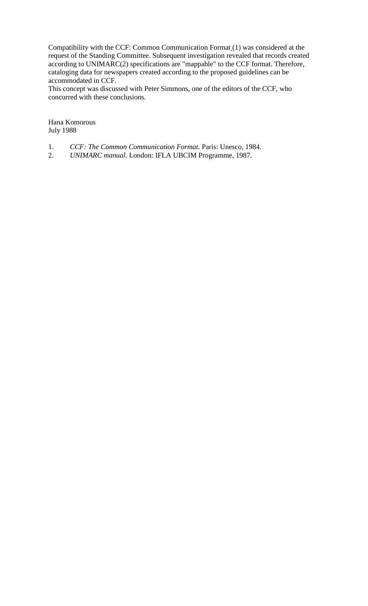Compatibility with the CCF: Common Communication Format (1) was considered at the request of the Standing Committee. Subsequent investigation revealed that records created according to UNIMARC(2) specifications are "mappable" to the CCF format. Therefore, cataloging data for newspapers created according to the proposed guidelines can be accommodated in CCF.

This concept was discussed with Peter Simmons, one of the editors of the CCF, who concurred with these conclusions.

Hana Komorous July 1988

- 1. *CCF: The Common Communication Format*. Paris: Unesco, 1984.
- 2. *UNIMARC manual*. London: IFLA UBCIM Programme, 1987.